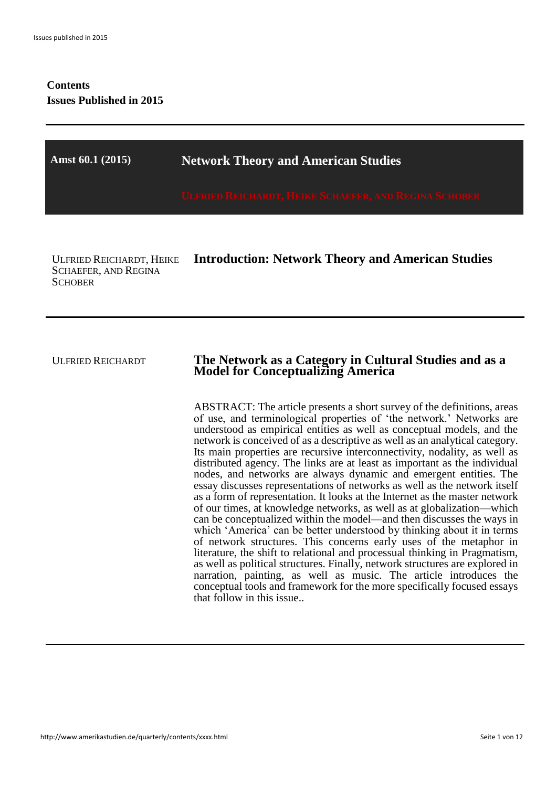# **Contents Issues Published in 2015**

| Amst 60.1 (2015)                                                                 | <b>Network Theory and American Studies</b>                                                                                                                                                                                                                                                                                                                                                                                                                                                                                                                                                                                                                                                                                                                                                                                                                                                                                                                                                                                                                                                                                                                                                     |
|----------------------------------------------------------------------------------|------------------------------------------------------------------------------------------------------------------------------------------------------------------------------------------------------------------------------------------------------------------------------------------------------------------------------------------------------------------------------------------------------------------------------------------------------------------------------------------------------------------------------------------------------------------------------------------------------------------------------------------------------------------------------------------------------------------------------------------------------------------------------------------------------------------------------------------------------------------------------------------------------------------------------------------------------------------------------------------------------------------------------------------------------------------------------------------------------------------------------------------------------------------------------------------------|
|                                                                                  | <b>ULFRIED REICHARDT, HEIKE SCHAEFER, AND REGINA!</b>                                                                                                                                                                                                                                                                                                                                                                                                                                                                                                                                                                                                                                                                                                                                                                                                                                                                                                                                                                                                                                                                                                                                          |
| <b>ULFRIED REICHARDT, HEIKE</b><br><b>SCHAEFER, AND REGINA</b><br><b>SCHOBER</b> | <b>Introduction: Network Theory and American Studies</b>                                                                                                                                                                                                                                                                                                                                                                                                                                                                                                                                                                                                                                                                                                                                                                                                                                                                                                                                                                                                                                                                                                                                       |
| <b>ULFRIED REICHARDT</b>                                                         | The Network as a Category in Cultural Studies and as a<br><b>Model for Conceptualizing America</b><br>ABSTRACT: The article presents a short survey of the definitions, areas<br>of use, and terminological properties of 'the network.' Networks are                                                                                                                                                                                                                                                                                                                                                                                                                                                                                                                                                                                                                                                                                                                                                                                                                                                                                                                                          |
|                                                                                  | understood as empirical entities as well as conceptual models, and the<br>network is conceived of as a descriptive as well as an analytical category.<br>Its main properties are recursive interconnectivity, nodality, as well as<br>distributed agency. The links are at least as important as the individual<br>nodes, and networks are always dynamic and emergent entities. The<br>essay discusses representations of networks as well as the network itself<br>as a form of representation. It looks at the Internet as the master network<br>of our times, at knowledge networks, as well as at globalization—which<br>can be conceptualized within the model—and then discusses the ways in<br>which 'America' can be better understood by thinking about it in terms<br>of network structures. This concerns early uses of the metaphor in<br>literature, the shift to relational and processual thinking in Pragmatism,<br>as well as political structures. Finally, network structures are explored in<br>narration, painting, as well as music. The article introduces the<br>conceptual tools and framework for the more specifically focused essays<br>that follow in this issue |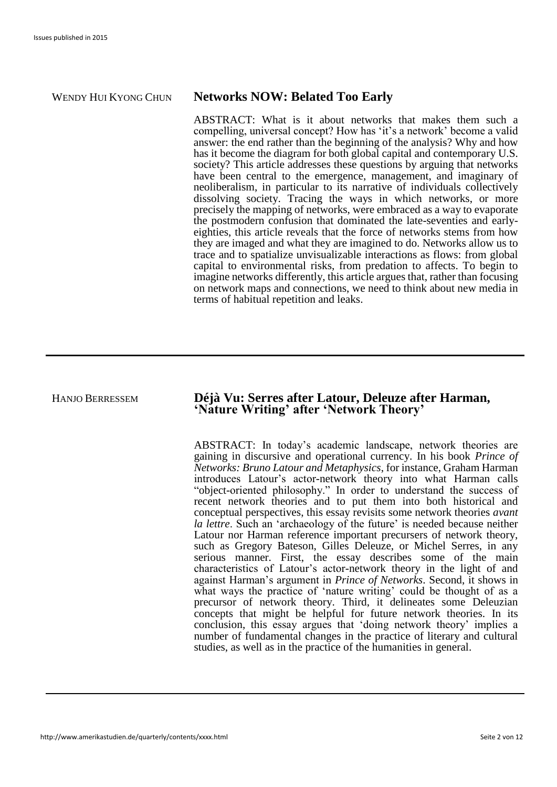### WENDY HUI KYONG CHUN **Networks NOW: Belated Too Early**

ABSTRACT: What is it about networks that makes them such a compelling, universal concept? How has 'it's a network' become a valid answer: the end rather than the beginning of the analysis? Why and how has it become the diagram for both global capital and contemporary U.S. society? This article addresses these questions by arguing that networks have been central to the emergence, management, and imaginary of neoliberalism, in particular to its narrative of individuals collectively dissolving society. Tracing the ways in which networks, or more precisely the mapping of networks, were embraced as a way to evaporate the postmodern confusion that dominated the late-seventies and earlyeighties, this article reveals that the force of networks stems from how they are imaged and what they are imagined to do. Networks allow us to trace and to spatialize unvisualizable interactions as flows: from global capital to environmental risks, from predation to affects. To begin to imagine networks differently, this article argues that, rather than focusing on network maps and connections, we need to think about new media in terms of habitual repetition and leaks.

### HANJO BERRESSEM **Déjà Vu: Serres after Latour, Deleuze after Harman, 'Nature Writing' after 'Network Theory'**

ABSTRACT: In today's academic landscape, network theories are gaining in discursive and operational currency. In his book *Prince of Networks: Bruno Latour and Metaphysics*, for instance, Graham Harman introduces Latour's actor-network theory into what Harman calls "object-oriented philosophy." In order to understand the success of recent network theories and to put them into both historical and conceptual perspectives, this essay revisits some network theories *avant la lettre*. Such an 'archaeology of the future' is needed because neither Latour nor Harman reference important precursers of network theory, such as Gregory Bateson, Gilles Deleuze, or Michel Serres, in any serious manner. First, the essay describes some of the main characteristics of Latour's actor-network theory in the light of and against Harman's argument in *Prince of Networks*. Second, it shows in what ways the practice of 'nature writing' could be thought of as a precursor of network theory. Third, it delineates some Deleuzian concepts that might be helpful for future network theories. In its conclusion, this essay argues that 'doing network theory' implies a number of fundamental changes in the practice of literary and cultural studies, as well as in the practice of the humanities in general.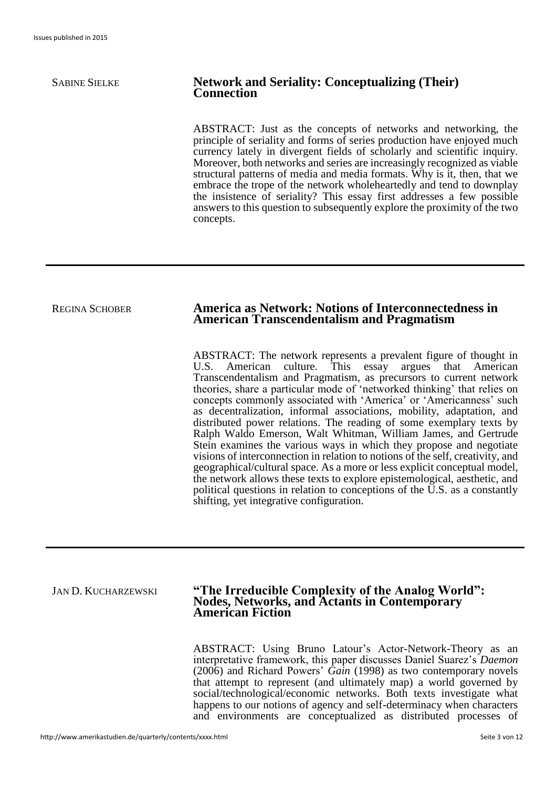### SABINE SIELKE **Network and Seriality: Conceptualizing (Their) Connection**

ABSTRACT: Just as the concepts of networks and networking, the principle of seriality and forms of series production have enjoyed much currency lately in divergent fields of scholarly and scientific inquiry. Moreover, both networks and series are increasingly recognized as viable structural patterns of media and media formats. Why is it, then, that we embrace the trope of the network wholeheartedly and tend to downplay the insistence of seriality? This essay first addresses a few possible answers to this question to subsequently explore the proximity of the two concepts.

#### REGINA SCHOBER **America as Network: Notions of Interconnectedness in American Transcendentalism and Pragmatism**

ABSTRACT: The network represents a prevalent figure of thought in U.S. American culture. This essay argues that American Transcendentalism and Pragmatism, as precursors to current network theories, share a particular mode of 'networked thinking' that relies on concepts commonly associated with 'America' or 'Americanness' such as decentralization, informal associations, mobility, adaptation, and distributed power relations. The reading of some exemplary texts by Ralph Waldo Emerson, Walt Whitman, William James, and Gertrude Stein examines the various ways in which they propose and negotiate visions of interconnection in relation to notions of the self, creativity, and geographical/cultural space. As a more or less explicit conceptual model, the network allows these texts to explore epistemological, aesthetic, and political questions in relation to conceptions of the U.S. as a constantly shifting, yet integrative configuration.

#### JAN D. KUCHARZEWSKI **"The Irreducible Complexity of the Analog World": Nodes, Networks, and Actants in Contemporary American Fiction**

ABSTRACT: Using Bruno Latour's Actor-Network-Theory as an interpretative framework, this paper discusses Daniel Suarez's *Daemon* (2006) and Richard Powers' *Gain* (1998) as two contemporary novels that attempt to represent (and ultimately map) a world governed by social/technological/economic networks. Both texts investigate what happens to our notions of agency and self-determinacy when characters and environments are conceptualized as distributed processes of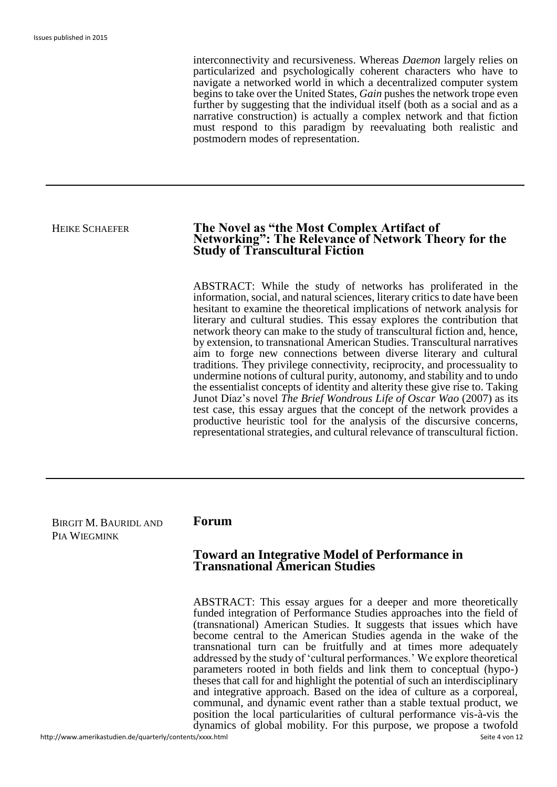interconnectivity and recursiveness. Whereas *Daemon* largely relies on particularized and psychologically coherent characters who have to navigate a networked world in which a decentralized computer system begins to take over the United States, *Gain* pushes the network trope even further by suggesting that the individual itself (both as a social and as a narrative construction) is actually a complex network and that fiction must respond to this paradigm by reevaluating both realistic and postmodern modes of representation.

#### HEIKE SCHAEFER **The Novel as "the Most Complex Artifact of Networking": The Relevance of Network Theory for the Study of Transcultural Fiction**

ABSTRACT: While the study of networks has proliferated in the information, social, and natural sciences, literary critics to date have been hesitant to examine the theoretical implications of network analysis for literary and cultural studies. This essay explores the contribution that network theory can make to the study of transcultural fiction and, hence, by extension, to transnational American Studies. Transcultural narratives aim to forge new connections between diverse literary and cultural traditions. They privilege connectivity, reciprocity, and processuality to undermine notions of cultural purity, autonomy, and stability and to undo the essentialist concepts of identity and alterity these give rise to. Taking Junot Díaz's novel *The Brief Wondrous Life of Oscar Wao* (2007) as its test case, this essay argues that the concept of the network provides a productive heuristic tool for the analysis of the discursive concerns, representational strategies, and cultural relevance of transcultural fiction.

| BIRGIT M. BAURIDL AND<br>PIA WIEGMINK | Forum                                                                                   |  |
|---------------------------------------|-----------------------------------------------------------------------------------------|--|
|                                       | <b>Toward an Integrative Model of Performance in<br/>Transnational American Studies</b> |  |

ABSTRACT: This essay argues for a deeper and more theoretically funded integration of Performance Studies approaches into the field of (transnational) American Studies. It suggests that issues which have become central to the American Studies agenda in the wake of the transnational turn can be fruitfully and at times more adequately addressed by the study of 'cultural performances.' We explore theoretical parameters rooted in both fields and link them to conceptual (hypo-) theses that call for and highlight the potential of such an interdisciplinary and integrative approach. Based on the idea of culture as a corporeal, communal, and dynamic event rather than a stable textual product, we position the local particularities of cultural performance vis-à-vis the dynamics of global mobility. For this purpose, we propose a twofold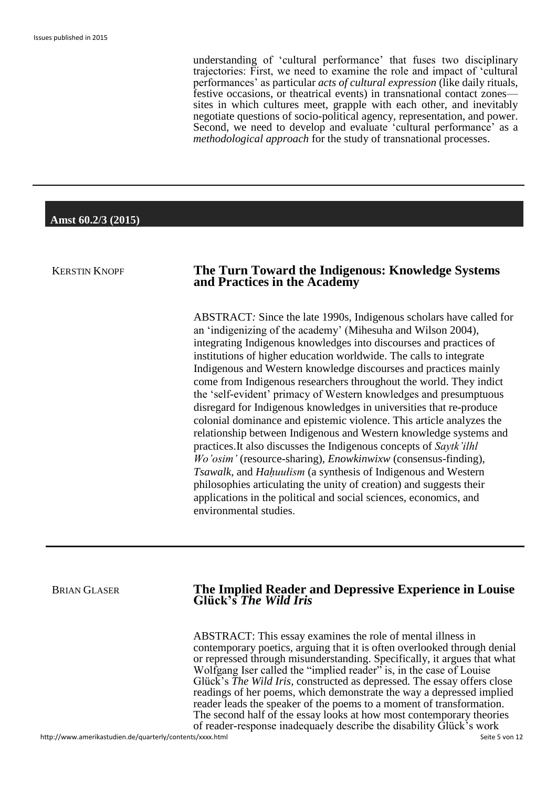understanding of 'cultural performance' that fuses two disciplinary trajectories: First, we need to examine the role and impact of 'cultural performances' as particular *acts of cultural expression* (like daily rituals, festive occasions, or theatrical events) in transnational contact zones sites in which cultures meet, grapple with each other, and inevitably negotiate questions of socio-political agency, representation, and power. Second, we need to develop and evaluate 'cultural performance' as a *methodological approach* for the study of transnational processes.

#### **Amst 60.2/3 (2015)**

### KERSTIN KNOPF **The Turn Toward the Indigenous: Knowledge Systems and Practices in the Academy**

ABSTRACT*:* Since the late 1990s, Indigenous scholars have called for an 'indigenizing of the academy' (Mihesuha and Wilson 2004), integrating Indigenous knowledges into discourses and practices of institutions of higher education worldwide. The calls to integrate Indigenous and Western knowledge discourses and practices mainly come from Indigenous researchers throughout the world. They indict the 'self-evident' primacy of Western knowledges and presumptuous disregard for Indigenous knowledges in universities that re-produce colonial dominance and epistemic violence. This article analyzes the relationship between Indigenous and Western knowledge systems and practices.It also discusses the Indigenous concepts of *Saytk'ilhl Wo'osim'* (resource-sharing), *Enowkinwixw* (consensus-finding), *Tsawalk*, and *Hahuulism* (a synthesis of Indigenous and Western philosophies articulating the unity of creation) and suggests their applications in the political and social sciences, economics, and environmental studies.

### BRIAN GLASER **The Implied Reader and Depressive Experience in Louise Glück's** *The Wild Iris*

ABSTRACT: This essay examines the role of mental illness in contemporary poetics, arguing that it is often overlooked through denial or repressed through misunderstanding. Specifically, it argues that what Wolfgang Iser called the "implied reader" is, in the case of Louise Glück's *The Wild Iris*, constructed as depressed. The essay offers close readings of her poems, which demonstrate the way a depressed implied reader leads the speaker of the poems to a moment of transformation. The second half of the essay looks at how most contemporary theories of reader-response inadequaely describe the disability Glück's work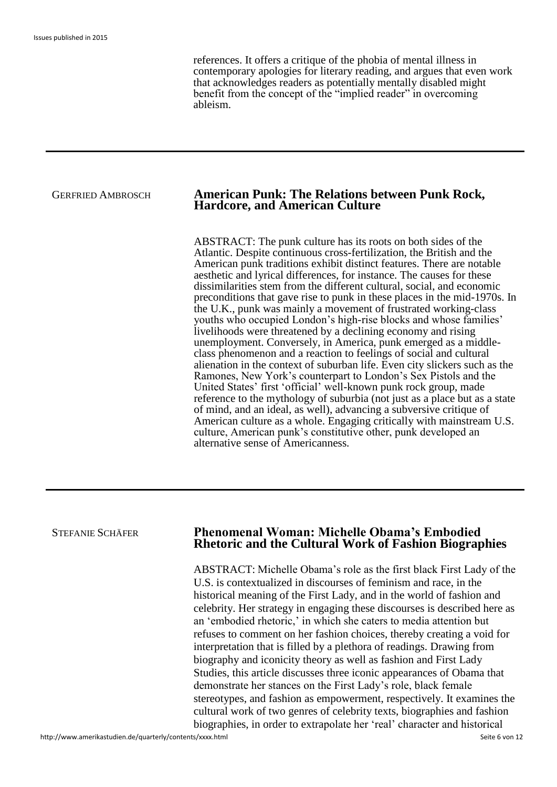references. It offers a critique of the phobia of mental illness in contemporary apologies for literary reading, and argues that even work that acknowledges readers as potentially mentally disabled might benefit from the concept of the "implied reader" in overcoming ableism.

### GERFRIED AMBROSCH **American Punk: The Relations between Punk Rock, Hardcore, and American Culture**

ABSTRACT: The punk culture has its roots on both sides of the Atlantic. Despite continuous cross-fertilization, the British and the American punk traditions exhibit distinct features. There are notable aesthetic and lyrical differences, for instance. The causes for these dissimilarities stem from the different cultural, social, and economic preconditions that gave rise to punk in these places in the mid-1970s. In the U.K., punk was mainly a movement of frustrated working-class youths who occupied London's high-rise blocks and whose families' livelihoods were threatened by a declining economy and rising unemployment. Conversely, in America, punk emerged as a middleclass phenomenon and a reaction to feelings of social and cultural alienation in the context of suburban life. Even city slickers such as the Ramones, New York's counterpart to London's Sex Pistols and the United States' first 'official' well-known punk rock group, made reference to the mythology of suburbia (not just as a place but as a state of mind, and an ideal, as well), advancing a subversive critique of American culture as a whole. Engaging critically with mainstream U.S. culture, American punk's constitutive other, punk developed an alternative sense of Americanness*.*

stereotypes, and fashion as empowerment, respectively. It examines the

| <b>STEFANIE SCHÄFER</b> | <b>Phenomenal Woman: Michelle Obama's Embodied</b><br><b>Rhetoric and the Cultural Work of Fashion Biographies</b>                                                                                                                                                                                                                                                                                                                                                                                                                                                                                                                                                                                                                       |
|-------------------------|------------------------------------------------------------------------------------------------------------------------------------------------------------------------------------------------------------------------------------------------------------------------------------------------------------------------------------------------------------------------------------------------------------------------------------------------------------------------------------------------------------------------------------------------------------------------------------------------------------------------------------------------------------------------------------------------------------------------------------------|
|                         | ABSTRACT: Michelle Obama's role as the first black First Lady of the<br>U.S. is contextualized in discourses of feminism and race, in the<br>historical meaning of the First Lady, and in the world of fashion and<br>celebrity. Her strategy in engaging these discourses is described here as<br>an 'embodied rhetoric,' in which she caters to media attention but<br>refuses to comment on her fashion choices, thereby creating a void for<br>interpretation that is filled by a plethora of readings. Drawing from<br>biography and iconicity theory as well as fashion and First Lady<br>Studies, this article discusses three iconic appearances of Obama that<br>demonstrate her stances on the First Lady's role, black female |

cultural work of two genres of celebrity texts, biographies and fashion biographies, in order to extrapolate her 'real' character and historical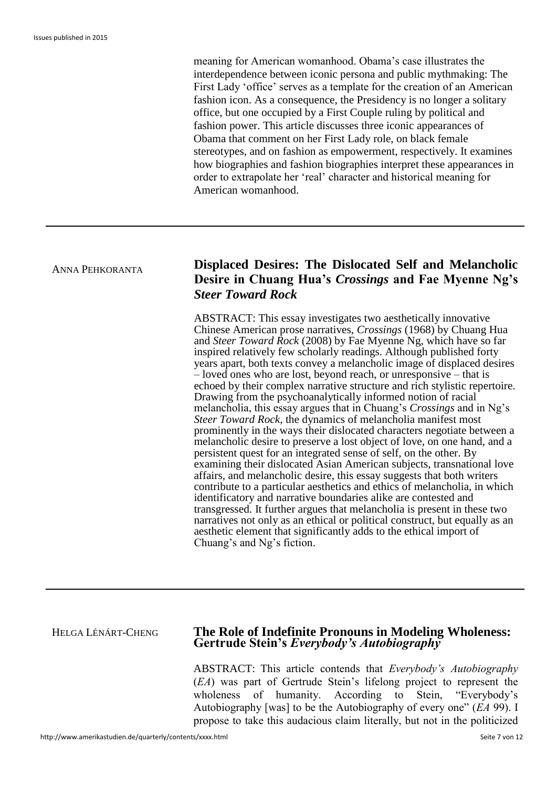meaning for American womanhood. Obama's case illustrates the interdependence between iconic persona and public mythmaking: The First Lady 'office' serves as a template for the creation of an American fashion icon. As a consequence, the Presidency is no longer a solitary office, but one occupied by a First Couple ruling by political and fashion power. This article discusses three iconic appearances of Obama that comment on her First Lady role, on black female stereotypes, and on fashion as empowerment, respectively. It examines how biographies and fashion biographies interpret these appearances in order to extrapolate her 'real' character and historical meaning for American womanhood.

# <sup>A</sup>NNA PEHKORANTA **Displaced Desires: The Dislocated Self and Melancholic Desire in Chuang Hua's** *Crossings* **and Fae Myenne Ng's**  *Steer Toward Rock*

ABSTRACT: This essay investigates two aesthetically innovative Chinese American prose narratives, *Crossings* (1968) by Chuang Hua and *Steer Toward Rock* (2008) by Fae Myenne Ng, which have so far inspired relatively few scholarly readings. Although published forty years apart, both texts convey a melancholic image of displaced desires  $\overline{\phantom{a}}$  – loved ones who are lost, beyond reach, or unresponsive – that is echoed by their complex narrative structure and rich stylistic repertoire. Drawing from the psychoanalytically informed notion of racial melancholia, this essay argues that in Chuang's *Crossings* and in Ng's *Steer Toward Rock*, the dynamics of melancholia manifest most prominently in the ways their dislocated characters negotiate between a melancholic desire to preserve a lost object of love, on one hand, and a persistent quest for an integrated sense of self, on the other. By examining their dislocated Asian American subjects, transnational love affairs, and melancholic desire, this essay suggests that both writers contribute to a particular aesthetics and ethics of melancholia, in which identificatory and narrative boundaries alike are contested and transgressed. It further argues that melancholia is present in these two narratives not only as an ethical or political construct, but equally as an aesthetic element that significantly adds to the ethical import of Chuang's and Ng's fiction.

### HELGA LÉNÁRT-CHENG **The Role of Indefinite Pronouns in Modeling Wholeness: Gertrude Stein's** *Everybody's Autobiography*

ABSTRACT: This article contends that *Everybody's Autobiography*  (*EA*) was part of Gertrude Stein's lifelong project to represent the wholeness of humanity. According to Stein, "Everybody's Autobiography [was] to be the Autobiography of every one" (*EA* 99). I propose to take this audacious claim literally, but not in the politicized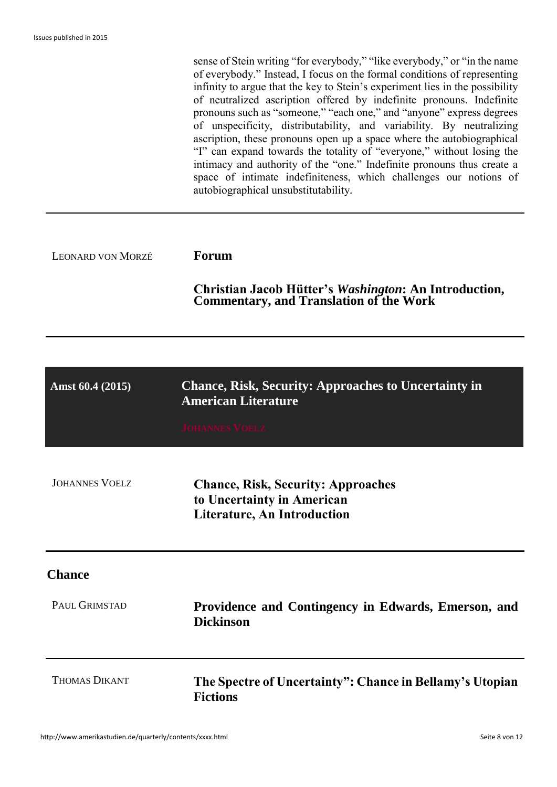|                          | sense of Stein writing "for everybody," "like everybody," or "in the name<br>of everybody." Instead, I focus on the formal conditions of representing<br>infinity to argue that the key to Stein's experiment lies in the possibility<br>of neutralized ascription offered by indefinite pronouns. Indefinite<br>pronouns such as "someone," "each one," and "anyone" express degrees<br>of unspecificity, distributability, and variability. By neutralizing<br>ascription, these pronouns open up a space where the autobiographical<br>"I" can expand towards the totality of "everyone," without losing the<br>intimacy and authority of the "one." Indefinite pronouns thus create a<br>space of intimate indefiniteness, which challenges our notions of<br>autobiographical unsubstitutability. |
|--------------------------|--------------------------------------------------------------------------------------------------------------------------------------------------------------------------------------------------------------------------------------------------------------------------------------------------------------------------------------------------------------------------------------------------------------------------------------------------------------------------------------------------------------------------------------------------------------------------------------------------------------------------------------------------------------------------------------------------------------------------------------------------------------------------------------------------------|
| <b>LEONARD VON MORZÉ</b> | <b>Forum</b>                                                                                                                                                                                                                                                                                                                                                                                                                                                                                                                                                                                                                                                                                                                                                                                           |
|                          | <b>Christian Jacob Hütter's Washington: An Introduction, Commentary, and Translation of the Work</b>                                                                                                                                                                                                                                                                                                                                                                                                                                                                                                                                                                                                                                                                                                   |
|                          |                                                                                                                                                                                                                                                                                                                                                                                                                                                                                                                                                                                                                                                                                                                                                                                                        |
| Amst 60.4 (2015)         | <b>Chance, Risk, Security: Approaches to Uncertainty in</b><br><b>American Literature</b>                                                                                                                                                                                                                                                                                                                                                                                                                                                                                                                                                                                                                                                                                                              |
|                          | <b>JOHANNES VOELZ</b>                                                                                                                                                                                                                                                                                                                                                                                                                                                                                                                                                                                                                                                                                                                                                                                  |
| <b>JOHANNES VOELZ</b>    | <b>Chance, Risk, Security: Approaches</b><br>to Uncertainty in American<br><b>Literature, An Introduction</b>                                                                                                                                                                                                                                                                                                                                                                                                                                                                                                                                                                                                                                                                                          |
| <b>Chance</b>            |                                                                                                                                                                                                                                                                                                                                                                                                                                                                                                                                                                                                                                                                                                                                                                                                        |
| PAUL GRIMSTAD            | Providence and Contingency in Edwards, Emerson, and<br><b>Dickinson</b>                                                                                                                                                                                                                                                                                                                                                                                                                                                                                                                                                                                                                                                                                                                                |
| <b>THOMAS DIKANT</b>     | The Spectre of Uncertainty": Chance in Bellamy's Utopian<br><b>Fictions</b>                                                                                                                                                                                                                                                                                                                                                                                                                                                                                                                                                                                                                                                                                                                            |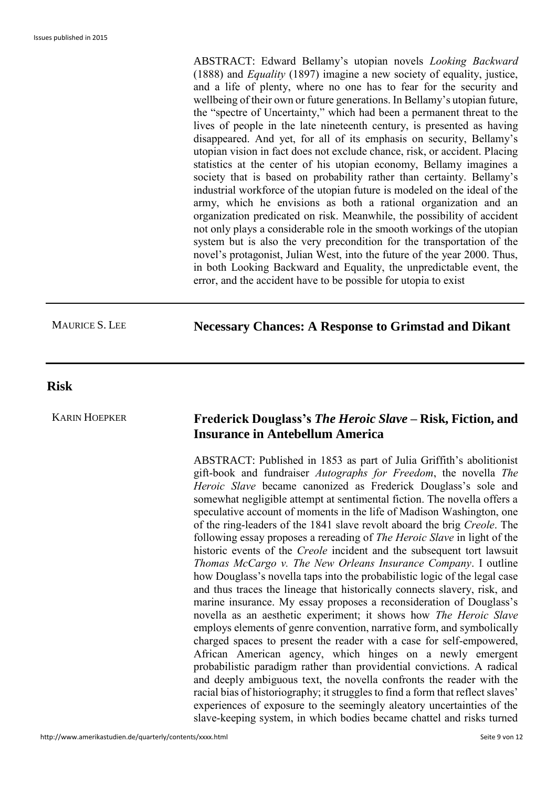ABSTRACT: Edward Bellamy's utopian novels *Looking Backward* (1888) and *Equality* (1897) imagine a new society of equality, justice, and a life of plenty, where no one has to fear for the security and wellbeing of their own or future generations. In Bellamy's utopian future, the "spectre of Uncertainty," which had been a permanent threat to the lives of people in the late nineteenth century, is presented as having disappeared. And yet, for all of its emphasis on security, Bellamy's utopian vision in fact does not exclude chance, risk, or accident. Placing statistics at the center of his utopian economy, Bellamy imagines a society that is based on probability rather than certainty. Bellamy's industrial workforce of the utopian future is modeled on the ideal of the army, which he envisions as both a rational organization and an organization predicated on risk. Meanwhile, the possibility of accident not only plays a considerable role in the smooth workings of the utopian system but is also the very precondition for the transportation of the novel's protagonist, Julian West, into the future of the year 2000. Thus, in both Looking Backward and Equality, the unpredictable event, the error, and the accident have to be possible for utopia to exist

# MAURICE S. LEE **Necessary Chances: A Response to Grimstad and Dikant**

### **Risk**

## KARIN HOEPKER **Frederick Douglass's** *The Heroic Slave* **– Risk, Fiction, and Insurance in Antebellum America**

ABSTRACT: Published in 1853 as part of Julia Griffith's abolitionist gift-book and fundraiser *Autographs for Freedom*, the novella *The Heroic Slave* became canonized as Frederick Douglass's sole and somewhat negligible attempt at sentimental fiction. The novella offers a speculative account of moments in the life of Madison Washington, one of the ring-leaders of the 1841 slave revolt aboard the brig *Creole*. The following essay proposes a rereading of *The Heroic Slave* in light of the historic events of the *Creole* incident and the subsequent tort lawsuit *Thomas McCargo v. The New Orleans Insurance Company*. I outline how Douglass's novella taps into the probabilistic logic of the legal case and thus traces the lineage that historically connects slavery, risk, and marine insurance. My essay proposes a reconsideration of Douglass's novella as an aesthetic experiment; it shows how *The Heroic Slave* employs elements of genre convention, narrative form, and symbolically charged spaces to present the reader with a case for self-empowered, African American agency, which hinges on a newly emergent probabilistic paradigm rather than providential convictions. A radical and deeply ambiguous text, the novella confronts the reader with the racial bias of historiography; it struggles to find a form that reflect slaves' experiences of exposure to the seemingly aleatory uncertainties of the slave-keeping system, in which bodies became chattel and risks turned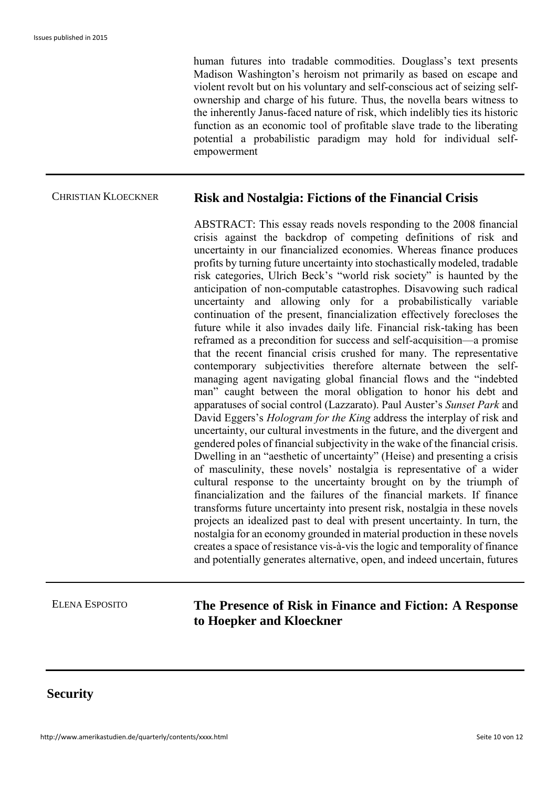human futures into tradable commodities. Douglass's text presents Madison Washington's heroism not primarily as based on escape and violent revolt but on his voluntary and self-conscious act of seizing selfownership and charge of his future. Thus, the novella bears witness to the inherently Janus-faced nature of risk, which indelibly ties its historic function as an economic tool of profitable slave trade to the liberating potential a probabilistic paradigm may hold for individual selfempowerment

### CHRISTIAN KLOECKNER **Risk and Nostalgia: Fictions of the Financial Crisis**

ABSTRACT: This essay reads novels responding to the 2008 financial crisis against the backdrop of competing definitions of risk and uncertainty in our financialized economies. Whereas finance produces profits by turning future uncertainty into stochastically modeled, tradable risk categories, Ulrich Beck's "world risk society" is haunted by the anticipation of non-computable catastrophes. Disavowing such radical uncertainty and allowing only for a probabilistically variable continuation of the present, financialization effectively forecloses the future while it also invades daily life. Financial risk-taking has been reframed as a precondition for success and self-acquisition—a promise that the recent financial crisis crushed for many. The representative contemporary subjectivities therefore alternate between the selfmanaging agent navigating global financial flows and the "indebted man" caught between the moral obligation to honor his debt and apparatuses of social control (Lazzarato). Paul Auster's *Sunset Park* and David Eggers's *Hologram for the King* address the interplay of risk and uncertainty, our cultural investments in the future, and the divergent and gendered poles of financial subjectivity in the wake of the financial crisis. Dwelling in an "aesthetic of uncertainty" (Heise) and presenting a crisis of masculinity, these novels' nostalgia is representative of a wider cultural response to the uncertainty brought on by the triumph of financialization and the failures of the financial markets. If finance transforms future uncertainty into present risk, nostalgia in these novels projects an idealized past to deal with present uncertainty. In turn, the nostalgia for an economy grounded in material production in these novels creates a space of resistance vis-à-vis the logic and temporality of finance and potentially generates alternative, open, and indeed uncertain, futures

# ELENA ESPOSITO **The Presence of Risk in Finance and Fiction: A Response to Hoepker and Kloeckner**

# **Security**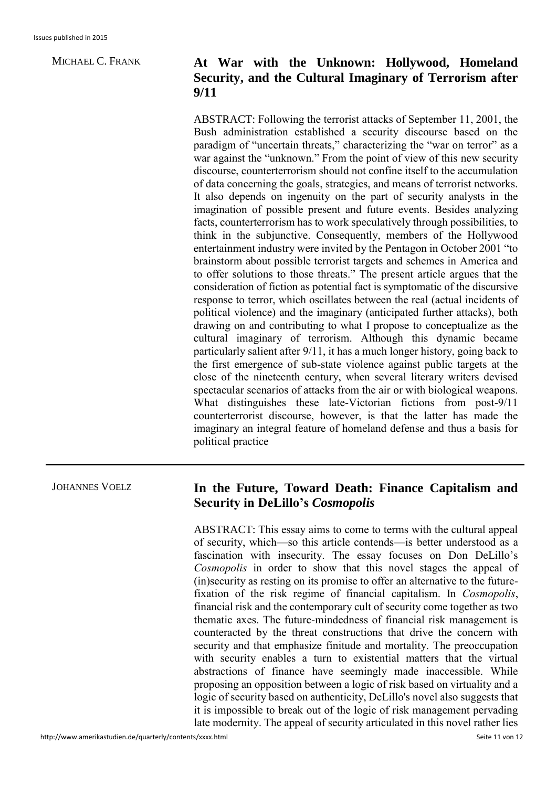# MICHAEL C. FRANK **At War with the Unknown: Hollywood, Homeland Security, and the Cultural Imaginary of Terrorism after 9/11**

ABSTRACT: Following the terrorist attacks of September 11, 2001, the Bush administration established a security discourse based on the paradigm of "uncertain threats," characterizing the "war on terror" as a war against the "unknown." From the point of view of this new security discourse, counterterrorism should not confine itself to the accumulation of data concerning the goals, strategies, and means of terrorist networks. It also depends on ingenuity on the part of security analysts in the imagination of possible present and future events. Besides analyzing facts, counterterrorism has to work speculatively through possibilities, to think in the subjunctive. Consequently, members of the Hollywood entertainment industry were invited by the Pentagon in October 2001 "to brainstorm about possible terrorist targets and schemes in America and to offer solutions to those threats." The present article argues that the consideration of fiction as potential fact is symptomatic of the discursive response to terror, which oscillates between the real (actual incidents of political violence) and the imaginary (anticipated further attacks), both drawing on and contributing to what I propose to conceptualize as the cultural imaginary of terrorism. Although this dynamic became particularly salient after 9/11, it has a much longer history, going back to the first emergence of sub-state violence against public targets at the close of the nineteenth century, when several literary writers devised spectacular scenarios of attacks from the air or with biological weapons. What distinguishes these late-Victorian fictions from post-9/11 counterterrorist discourse, however, is that the latter has made the imaginary an integral feature of homeland defense and thus a basis for political practice

# JOHANNES VOELZ **In the Future, Toward Death: Finance Capitalism and Security in DeLillo's** *Cosmopolis*

ABSTRACT: This essay aims to come to terms with the cultural appeal of security, which—so this article contends—is better understood as a fascination with insecurity. The essay focuses on Don DeLillo's *Cosmopolis* in order to show that this novel stages the appeal of (in)security as resting on its promise to offer an alternative to the futurefixation of the risk regime of financial capitalism. In *Cosmopolis*, financial risk and the contemporary cult of security come together as two thematic axes. The future-mindedness of financial risk management is counteracted by the threat constructions that drive the concern with security and that emphasize finitude and mortality. The preoccupation with security enables a turn to existential matters that the virtual abstractions of finance have seemingly made inaccessible. While proposing an opposition between a logic of risk based on virtuality and a logic of security based on authenticity, DeLillo's novel also suggests that it is impossible to break out of the logic of risk management pervading late modernity. The appeal of security articulated in this novel rather lies